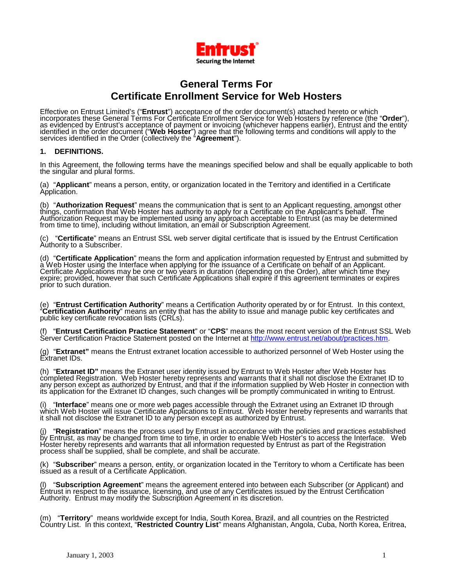

# **General Terms For Certificate Enrollment Service for Web Hosters**

Effective on Entrust Limited's ("Entrust") acceptance of the order document(s) attached hereto or which<br>incorporates these General Terms For Certificate Enrollment Service for Web Hosters by reference (the "Order"), identified in the order document ("**Web Hoster**") agree that the following terms and conditions will apply to the services identified in the Order (collectively the "**Agreement**").

## **1. DEFINITIONS.**

In this Agreement, the following terms have the meanings specified below and shall be equally applicable to both the singular and plural forms.

(a) "**Applicant**" means a person, entity, or organization located in the Territory and identified in a Certificate<br>Application.

(b) "**Authorization Request**" means the communication that is sent to an Applicant requesting, amongst other<br>things, confirmation that Web Hoster has authority to apply for a Certificate on the Applicant's behalf. The Authorization Request may be implemented using any approach acceptable to Entrust (as may be determined from time to time), including without limitation, an email or Subscription Agreement.

(c) "Certificate" means an Entrust SSL web server digital certificate that is issued by the Entrust Certification<br>Authority to a Subscriber.

(d) "Certificate Application" means the form and application information requested by Entrust and submitted by<br>a Web Hoster using the Interface when applying for the issuance of a Certificate on behalf of an Applicant. Certificate Applications may be one or two yéars in duration (depending on the Order), after which time they expire; provided, however that such Certificate Applications shall expire if this agreement terminates or expires prior to such duration.

(e) "Entrust Certification Authority" means a Certification Authority operated by or for Entrust. In this context, "Certification Authority" means an entity that has the ability to issue and manage public key certificates

(f) "**Entrust Certification Practice Statement**" or "**CPS**" means the most recent version of the Entrust SSL Web Server Certification Practice Statement posted on the Internet at [http://www.entrust.net/about/practices.htm.](http://www.entrust.net/about/practices.htm)

(g) "**Extranet"** means the Entrust extranet location accessible to authorized personnel of Web Hoster using the Extranet IDs.

(h) "**Extranet ID**" means the Extranet user identity issued by Entrust to Web Hoster after Web Hoster has<br>completed Registration. Web Hoster hereby represents and warrants that it shall not disclose the Extranet ID to any person except as authorized by Entrust, and that if the information supplied by Web Hoster in connection with its application for the Extranet ID changes, such changes will be promptly communicated in writing to Entrust.

(i) "**Interface**" means one or more web pages accessible through the Extranet using an Extranet ID through<br>which Web Hoster will issue Certificate Applications to Entrust. Web Hoster hereby represents and warrants that it shall not disclose the Extranet ID to any person except as authorized by Entrust.

(j) "Registration" means the process used by Entrust in accordance with the policies and practices established<br>by Entrust, as may be changed from time to time, in order to enable Web Hoster's to access the Interface. Web Hoster hereby represents and warrants that all information requested by Entrust as part of the Registration process shall be supplied, shall be complete, and shall be accurate.

(k) "**Subscriber**" means a person, entity, or organization located in the Territory to whom a Certificate has been issued as a result of a Certificate Application.

(l) "**Subscription Agreement**" means the agreement entered into between each Subscriber (or Applicant) and Entrust in respect to the issuance, licensing, and use of any Certificates issued by the Entrust Certification Authority. Entrust may modify the Subscription Agreement in its discretion.

(m) "Territory" means worldwide except for India, South Korea, Brazil, and all countries on the Restricted<br>Country List. In this context, "Restricted Country List" means Afghanistan, Angola, Cuba, North Korea, Eritrea,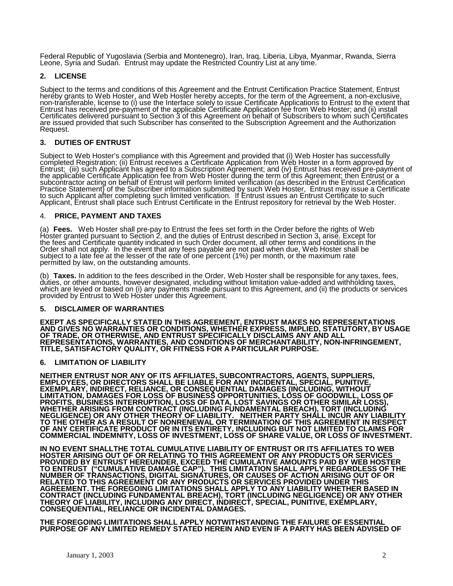Federal Republic of Yugoslavia (Serbia and Montenegro), Iran, Iraq, Liberia, Libya, Myanmar, Rwanda, Sierra Leone, Syria and Sudan. Entrust may update the Restricted Country List at any time.

# **2. LICENSE**

Subject to the terms and conditions of this Agreement and the Entrust Certification Practice Statement, Entrust hereby grants to Web Hoster, and Web Hoster hereby accepts, for the term of the Agreement, a non-exclusive, non-transferable, license to (i) use the Interface solely to issue Certificate Applications to Entrust to the extent that Entrust has received pre-payment of the applicable Certificate Application fee from Web Hoster; and (ii) install Certificates delivered pursuant to Section 3 of this Agreement on behalf of Subscribers to whom such Certificates are issued provided that such Subscriber has consented to the Subscription Agreement and the Authorization Request.

# **3. DUTIES OF ENTRUST**

Subject to Web Hoster's compliance with this Agreement and provided that (i) Web Hoster has successfully completed Registration; (ii) Entrust receives a Certificate Application from Web Hoster in a form approved by Entrust; (iii) such Applicant has agreed to a Subscription Agreement; and (iv) Entrust has received pre-payment of the applicable Certificate Application fee from Web Hoster during the term of this Agreement; then Entrust or a subcontractor acting on behalf of Entrust will perform limited verification (as described in the Entrust Certification Practice Statement) of the Subscriber information submitted by such Web Hoster, Entrust may issue a Certificate to such Applicant after completing such limited verification. If Entrust issues an Entrust Certificate to such Applicant, Entrust shall place such Entrust Certificate in the Entrust repository for retrieval by the Web Hoster.

## 4. **PRICE, PAYMENT AND TAXES**

(a) Fees. Web Hoster shall pre-pay to Entrust the fees set forth in the Order before the rights of Web<br>Hoster granted pursuant to Section 2, and the duties of Entrust described in Section 3, arise. Except for the fees and Certificate quantity indicated in such Order document, all other terms and conditions in the Order shall not apply. In the event that any fees payable are not paid when due, Web Hoster shall be subject to a late fee at the lesser of the rate of one percent (1%) per month, or the maximum rate

permitted by law, on the outstanding amounts.<br>
(b) Taxes. In addition to the fees described in the Order, Web Hoster shall be responsible for any taxes, fees,<br>
duties, or other amounts, however designated, including withou which are levied or based on (i) any payments made pursuant to this Agreement, and (ii) the products or services provided by Entrust to Web Hoster under this Agreement.

#### **5. DISCLAIMER OF WARRANTIES**

**EXEPT AS SPECIFICALLY STATED IN THIS AGREEMENT, ENTRUST MAKES NO REPRESENTATIONS AND GIVES NO WARRANTIES OR CONDITIONS, WHETHER EXPRESS, IMPLIED, STATUTORY, BY USAGE OF TRADE, OR OTHERWISE, AND ENTRUST SPECIFICALLY DISCLAIMS ANY AND ALL REPRESENTATIONS, WARRANTIES, AND CONDITIONS OF MERCHANTABILITY, NON-INFRINGEMENT, TITLE, SATISFACTORY QUALITY, OR FITNESS FOR A PARTICULAR PURPOSE.** 

#### **6. LIMITATION OF LIABILITY**

**NEITHER ENTRUST NOR ANY OF ITS AFFILIATES, SUBCONTRACTORS, AGENTS, SUPPLIERS, EMPLOYEES, OR DIRECTORS SHALL BE LIABLE FOR ANY INCIDENTAL, SPECIAL, PUNITIVE, EXEMPLARY, INDIRECT, RELIANCE, OR CONSEQUENTIAL DAMAGES (INCLUDING, WITHOUT LIMITATION, DAMAGES FOR LOSS OF BUSINESS OPPORTUNITIES, LOSS OF GOODWILL, LOSS OF PROFITS, BUSINESS INTERRUPTION, LOSS OF DATA, LOST SAVINGS OR OTHER SIMILAR LOSS), WHETHER ARISING FROM CONTRACT (INCLUDING FUNDAMENTAL BREACH), TORT (INCLUDING NEGLIGENCE) OR ANY OTHER THEORY OF LIABILITY. NEITHER PARTY SHALL INCUR ANY LIABILITY TO THE OTHER AS A RESULT OF NONRENEWAL OR TERMINATION OF THIS AGREEMENT IN RESPECT OF ANY CERTIFICATE PRODUCT OR IN ITS ENTIRETY, INCLUDING BUT NOT LIMITED TO CLAIMS FOR COMMERCIAL INDEMNITY, LOSS OF INVESTMENT, LOSS OF SHARE VALUE, OR LOSS OF INVESTMENT.** 

**IN NO EVENT SHALLTHE TOTAL CUMULATIVE LIABILITY OF ENTRUST OR ITS AFFILIATES TO WEB HOSTER ARISING OUT OF OR RELATING TO THIS AGREEMENT OR ANY PRODUCTS OR SERVICES PROVIDED BY ENTRUST HEREUNDER, EXCEED THE CUMULATIVE AMOUNTS PAID BY WEB HOSTER TO ENTRUST ("CUMULATIVE DAMAGE CAP"). THIS LIMITATION SHALL APPLY REGARDLESS OF THE NUMBER OF TRANSACTIONS, DIGITAL SIGNATURES, OR CAUSES OF ACTION ARISING OUT OF OR RELATED TO THIS AGREEMENT OR ANY PRODUCTS OR SERVICES PROVIDED UNDER THIS AGREEMENT. THE FOREGOING LIMITATIONS SHALL APPLY TO ANY LIABILITY WHETHER BASED IN CONTRACT (INCLUDING FUNDAMENTAL BREACH), TORT (INCLUDING NEGLIGENCE) OR ANY OTHER THEORY OF LIABILITY, INCLUDING ANY DIRECT, INDIRECT, SPECIAL, PUNITIVE, EXEMPLARY, CONSEQUENTIAL, RELIANCE OR INCIDENTAL DAMAGES.** 

**THE FOREGOING LIMITATIONS SHALL APPLY NOTWITHSTANDING THE FAILURE OF ESSENTIAL PURPOSE OF ANY LIMITED REMEDY STATED HEREIN AND EVEN IF A PARTY HAS BEEN ADVISED OF**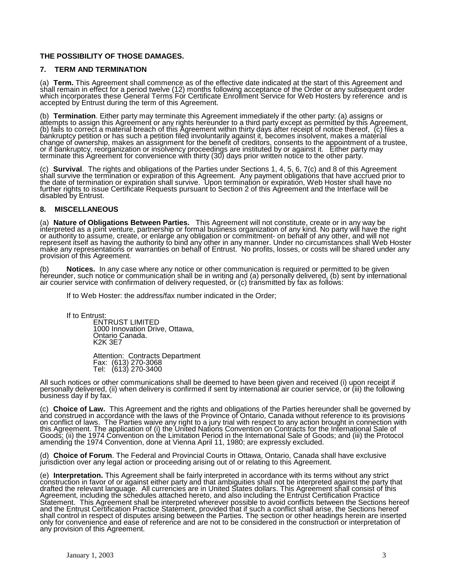# **THE POSSIBILITY OF THOSE DAMAGES.**

#### **7. TERM AND TERMINATION**

(a) Term. This Agreement shall commence as of the effective date indicated at the start of this Agreement and<br>shall remain in effect for a period twelve (12) months following acceptance of the Order or any subsequent order which incorporates these General Terms For Certificate Enrollment Service for Web Hosters by reference and is accepted by Entrust during the term of this Agreement.

(b) Termination. Either party may terminate this Agreement immediately if the other party: (a) assigns or<br>attempts to assign this Agreement or any rights hereunder to a third party except as permitted by this Agreement, (b) fails to correct a material breach of this Agreement within thirty days after receipt of notice thereof, (c) files a bankruptcy petition or has such a petition filed involuntarily against it, becomes insolvent, makes a material change of ownership, makes an assignment for the benefit of creditors, consents to the appointment of a trustee, or if bankruptcy, reorganization or insolvency proceedings are instituted by or against it. Either party may terminate this Agreement for convenience with thirty (30) days prior written notice to the other party.

(c) Survival. The rights and obligations of the Parties under Sections 1, 4, 5, 6, 7(c) and 8 of this Agreement<br>shall survive the termination or expiration of this Agreement. Any payment obligations that have accrued prior the date of termination or expiration shall survive. Upon termination or expiration, Web Hoster shall have no further rights to issue Certificate Requests pursuant to Section 2 of this Agreement and the Interface will be disabled by Entrust.

## **8. MISCELLANEOUS**

(a) Nature of Obligations Between Parties. This Agreement will not constitute, create or in any way be interpreted as a joint venture, partnership or formal business organization of any kind. No party will have the right or authority to assume, create, or enlarge any obligation or commitment- on behalf of any other, and will not represent itself as having the authority to bind any other in any manner. Under no circumstances shall Web Hoster make any representations or warranties on behalf of Entrust. No profits, losses, or costs will be shared under any provision of this Agreement.

(b) **Notices.** In any case where any notice or other communication is required or permitted to be given hereunder, such notice or communication shall be in writing and (a) personally delivered, (b) sent by international air courier service with confirmation of delivery requested, or (c) transmitted by fax as follows:

If to Web Hoster: the address/fax number indicated in the Order;

If to Entrust:

ENTRUST LIMITED 1000 Innovation Drive, Ottawa, Ontario Canada. K2K 3E7

Attention: Contracts Department Fax: (613) 270-3068 Tel: (613) 270-3400

All such notices or other communications shall be deemed to have been given and received (i) upon receipt if personally delivered, (ii) when delivery is confirmed if sent by international air courier service, or (iii) the following business day if by fax.

(c) Choice of Law. This Agreement and the rights and obligations of the Parties hereunder shall be governed by<br>and construed in accordance with the laws of the Province of Ontario, Canada without reference to its provision on conflict of laws. The Parties waive any right to a jury trial with respect to any action brought in connection with this Agreement. The application of (i) the United Nations Convention on Contracts for the International Sale of Goods; (ii) the 1974 Convention on the Limitation Period in the International Sale of Goods; and (iii) the Protocol amending the 1974 Convention, done at Vienna April 11, 1980; are expressly excluded.

(d) **Choice of Forum**. The Federal and Provincial Courts in Ottawa, Ontario, Canada shall have exclusive jurisdiction over any legal action or proceeding arising out of or relating to this Agreement.

(e) Interpretation. This Agreement shall be fairly interpreted in accordance with its terms without any strict<br>construction in favor of or against either party and that ambiguities shall not be interpreted against the part drafted the relevant language. All currencies are in United States dollars. This Agreement shall consist of this Agreement, including the schedules attached hereto, and also including the Entrust Certification Practice Statement. This Agreement shall be interpreted wherever possible to avoid conflicts between the Sections hereof and the Entrust Certification Practice Statement, provided that if such a conflict shall arise, the Sections hereof shall control in respect of disputes arising between the Parties. The section or other headings herein are inserted only for convenience and ease of reference and are not to be considered in the construction or interpretation of any provision of this Agreement.